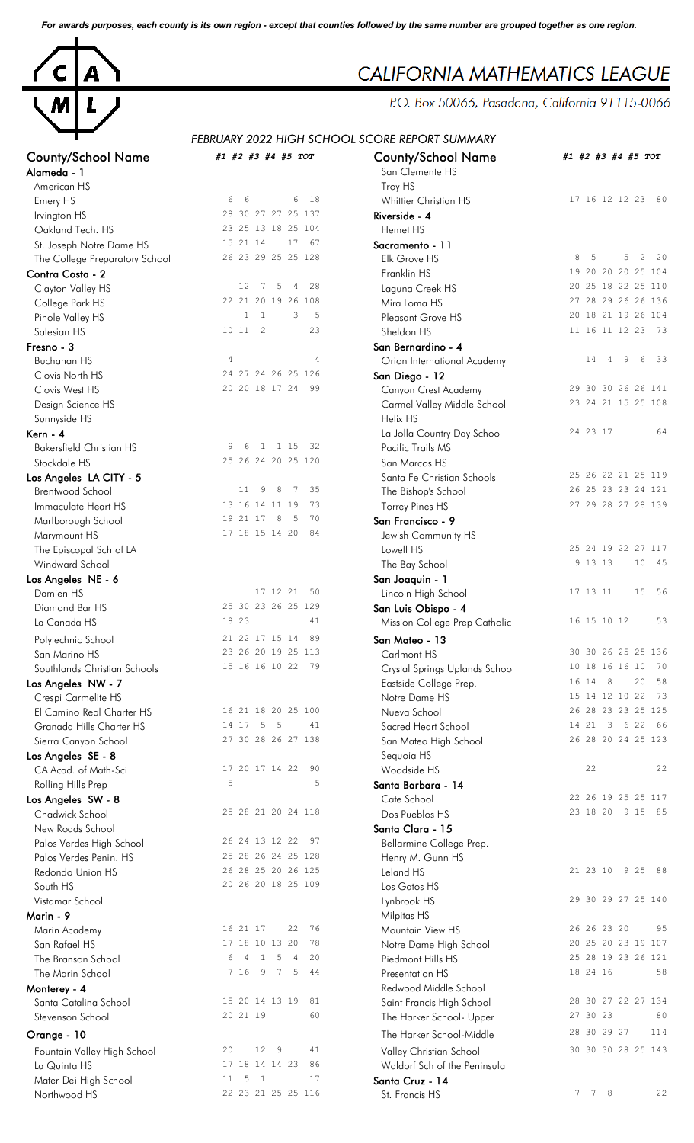*For awards purposes, each county is its own region - except that counties followed by the same number are grouped together as one region.*



# **CALIFORNIA MATHEMATICS LEAGUE**

P.O. Box 50066, Pasadena, California 91115-0066

# *FEBRUARY 2022 HIGH SCHOOL SCORE REPORT SUMMARY*

| <b>County/School Name</b>       | #1 #2 #3 #4 #5 TOT                                         | <b>County/School Name</b>                     | #1 #2 #3 #4 #5 TOT        |
|---------------------------------|------------------------------------------------------------|-----------------------------------------------|---------------------------|
| Alameda - 1                     |                                                            | San Clemente HS                               |                           |
| American HS                     |                                                            | Troy HS                                       |                           |
| Emery HS                        | 6<br>6<br>6<br>18                                          | Whittier Christian HS                         | 17 16 12 12 23 80         |
| Irvington HS                    | 28 30 27 27 25 137                                         | Riverside - 4                                 |                           |
| Oakland Tech. HS                | 23 25 13 18 25 104                                         | Hemet HS                                      |                           |
| St. Joseph Notre Dame HS        | 15 21 14<br>67<br>17                                       | Sacramento - 11                               |                           |
| The College Preparatory School  | 26 23 29 25 25 128                                         | Elk Grove HS                                  | 8<br>5<br>2<br>- 20<br>5  |
| Contra Costa - 2                |                                                            | Franklin HS                                   | 19 20 20 20 25 104        |
| Clayton Valley HS               | 5<br>12<br>$7\phantom{.0}$<br>4                            | 28<br>Laguna Creek HS                         | 20 25 18 22 25 110        |
| College Park HS                 | 22 21 20 19 26 108                                         | Mira Loma HS                                  | 27 28 29 26 26 136        |
| Pinole Valley HS                | 3<br>$\mathbf{1}$<br><sup>1</sup>                          | 5<br>Pleasant Grove HS                        | 20 18 21 19 26 104        |
| Salesian HS                     | 10 11 2                                                    | 23<br>Sheldon HS                              | 11 16 11 12 23 73         |
| Fresno - 3                      |                                                            | San Bernardino - 4                            |                           |
| <b>Buchanan HS</b>              | $\overline{4}$                                             | $\overline{4}$<br>Orion International Academy | 14<br>4<br>9<br>6<br>- 33 |
| Clovis North HS                 | 24 27 24 26 25 126                                         | San Diego - 12                                |                           |
| Clovis West HS                  | 20 20 18 17 24 99                                          | Canyon Crest Academy                          | 29 30 30 26 26 141        |
| Design Science HS               |                                                            | Carmel Valley Middle School                   | 23 24 21 15 25 108        |
| Sunnyside HS                    |                                                            | Helix HS                                      |                           |
| Kern - 4                        |                                                            | La Jolla Country Day School                   | 24 23 17<br>64            |
| <b>Bakersfield Christian HS</b> | 1 15<br>- 32<br>9<br>- 6<br>$\mathbf{1}$                   | Pacific Trails MS                             |                           |
| Stockdale HS                    | 25 26 24 20 25 120                                         | San Marcos HS                                 |                           |
| Los Angeles LA CITY - 5         |                                                            | Santa Fe Christian Schools                    | 25 26 22 21 25 119        |
| <b>Brentwood School</b>         | 9<br>11<br>8<br>7                                          | 35<br>The Bishop's School                     | 26 25 23 23 24 121        |
| Immaculate Heart HS             | 13 16 14 11 19                                             | 73<br>Torrey Pines HS                         | 27 29 28 27 28 139        |
| Marlborough School              | 19 21 17 8<br>- 5                                          | 70<br>San Francisco - 9                       |                           |
| Marymount HS                    | 17 18 15 14 20<br>84                                       | Jewish Community HS                           |                           |
| The Episcopal Sch of LA         |                                                            | Lowell HS                                     | 25 24 19 22 27 117        |
| Windward School                 |                                                            | The Bay School                                | 9 13 13<br>10<br>45       |
| Los Angeles NE - 6              |                                                            | San Joaquin - 1                               |                           |
| Damien HS                       | 17 12 21<br>50                                             | Lincoln High School                           | 56<br>17 13 11<br>15      |
| Diamond Bar HS                  | 25 30 23 26 25 129                                         | San Luis Obispo - 4                           |                           |
| La Canada HS                    | 18 23                                                      | 41<br>Mission College Prep Catholic           | 53<br>16 15 10 12         |
| Polytechnic School              | 89<br>21 22 17 15 14                                       | San Mateo - 13                                |                           |
| San Marino HS                   | 23 26 20 19 25 113                                         | Carlmont HS                                   | 30 30 26 25 25 136        |
| Southlands Christian Schools    | 15 16 16 10 22 79                                          | Crystal Springs Uplands School                | 10 18 16 16 10<br>70      |
| Los Angeles NW - 7              |                                                            | Eastside College Prep.                        | 58<br>16 14<br>8<br>20    |
| Crespi Carmelite HS             |                                                            | Notre Dame HS                                 | 15 14 12 10 22<br>73      |
| El Camino Real Charter HS       | 16 21 18 20 25 100                                         | Nueva School                                  | 26 28 23 23 25 125        |
| Granada Hills Charter HS        | 14 17 5<br>$-5$                                            | 41<br>Sacred Heart School                     | 14 21 3 6 22 66           |
| Sierra Canyon School            | 27 30 28 26 27 138                                         | San Mateo High School                         | 26 28 20 24 25 123        |
| Los Angeles SE - 8              |                                                            | Sequoia HS                                    |                           |
| CA Acad. of Math-Sci            | 17 20 17 14 22                                             | 90<br>Woodside HS                             | 22<br>22                  |
| Rolling Hills Prep              | 5                                                          | 5<br>Santa Barbara - 14                       |                           |
| Los Angeles SW - 8              |                                                            | Cate School                                   | 22 26 19 25 25 117        |
| Chadwick School                 | 25 28 21 20 24 118                                         | Dos Pueblos HS                                | 23 18 20 9 15 85          |
| New Roads School                |                                                            | Santa Clara - 15                              |                           |
| Palos Verdes High School        | 26 24 13 12 22<br>97                                       | Bellarmine College Prep.                      |                           |
| Palos Verdes Penin. HS          | 25 28 26 24 25 128                                         | Henry M. Gunn HS                              |                           |
| Redondo Union HS                | 26 28 25 20 26 125                                         | Leland HS                                     | 21 23 10 9 25 88          |
| South HS                        | 20 26 20 18 25 109                                         | Los Gatos HS                                  |                           |
| Vistamar School                 |                                                            | Lynbrook HS                                   | 29 30 29 27 25 140        |
| Marin - 9                       |                                                            | Milpitas HS                                   |                           |
| Marin Academy                   | 16 21 17<br>22<br>76                                       | Mountain View HS                              | 95<br>26 26 23 20         |
| San Rafael HS                   | 17 18 10 13 20                                             | 78<br>Notre Dame High School                  | 20 25 20 23 19 107        |
| The Branson School              | $\overline{4}$<br>$\mathbf{1}$<br>5<br>$\overline{4}$<br>6 | 20<br>Piedmont Hills HS                       | 25 28 19 23 26 121        |
| The Marin School                | 7 16<br>9<br>$7\phantom{.0}$<br>5                          | 44<br>Presentation HS                         | 18 24 16<br>58            |
| Monterey - 4                    |                                                            | Redwood Middle School                         |                           |
| Santa Catalina School           | 15 20 14 13 19                                             | 81<br>Saint Francis High School               | 28 30 27 22 27 134        |
| Stevenson School                | 20 21 19                                                   | 60<br>The Harker School- Upper                | 27 30 23<br>80            |
|                                 |                                                            |                                               | 28 30 29 27<br>114        |
| Orange - 10                     |                                                            | The Harker School-Middle                      |                           |
| Fountain Valley High School     | 12 9<br>20                                                 | 41<br>Valley Christian School                 | 30 30 30 28 25 143        |
| La Quinta HS                    | 17 18 14 14 23                                             | 86<br>Waldorf Sch of the Peninsula            |                           |
| Mater Dei High School           | 5<br>$\mathbf{1}$<br>11                                    | 17<br>Santa Cruz - 14                         |                           |
| Northwood HS                    | 22 23 21 25 25 116                                         | St. Francis HS                                | 7 7 8<br>22               |

| UNL NLI UNT JUMIMANT                    |                    |          |                |       |             |                    |
|-----------------------------------------|--------------------|----------|----------------|-------|-------------|--------------------|
| <b>County/School Name</b>               | #1 #2 #3 #4 #5 TOT |          |                |       |             |                    |
| San Clemente HS                         |                    |          |                |       |             |                    |
| Troy HS                                 |                    |          |                |       |             |                    |
| Whittier Christian HS                   |                    |          | 17 16 12 12 23 |       |             | 80                 |
| Riverside - 4                           |                    |          |                |       |             |                    |
| Hemet HS                                |                    |          |                |       |             |                    |
| Sacramento - 11                         |                    |          |                |       |             |                    |
| Elk Grove HS                            | 8                  | 5        |                | 5     | 2           | 20                 |
| Franklin HS                             |                    |          | 19 20 20 20 25 |       |             | 104                |
| Laguna Creek HS                         |                    |          | 20 25 18 22 25 |       |             | 110                |
| Mira Loma HS                            |                    |          |                |       |             | 27 28 29 26 26 136 |
| Pleasant Grove HS                       |                    |          |                |       |             | 20 18 21 19 26 104 |
| Sheldon HS                              |                    |          | 11 16 11 12 23 |       |             | 73                 |
| San Bernardino - 4                      |                    |          |                |       |             |                    |
| Orion International Academy             |                    | 14       | 4              | 9     | 6           | 33                 |
| San Diego - 12                          |                    |          |                |       |             |                    |
| Canyon Crest Academy                    |                    |          |                |       |             | 29 30 30 26 26 141 |
|                                         |                    |          |                |       |             | 23 24 21 15 25 108 |
| Carmel Valley Middle School<br>Helix HS |                    |          |                |       |             |                    |
|                                         |                    | 24 23 17 |                |       |             | 64                 |
| La Jolla Country Day School             |                    |          |                |       |             |                    |
| <b>Pacific Trails MS</b>                |                    |          |                |       |             |                    |
| San Marcos HS                           |                    |          |                |       |             | 25 26 22 21 25 119 |
| Santa Fe Christian Schools              |                    |          |                |       |             | 26 25 23 23 24 121 |
| The Bishop's School                     |                    |          |                |       |             |                    |
| <b>Torrey Pines HS</b>                  |                    |          |                |       |             | 27 29 28 27 28 139 |
| San Francisco - 9                       |                    |          |                |       |             |                    |
| Jewish Community HS                     |                    |          |                |       |             |                    |
| Lowell HS                               |                    |          | 25 24 19 22 27 |       |             | 117                |
| The Bay School                          | 9                  | 13 13    |                |       | 10          | 45                 |
| San Joaquin - 1                         |                    |          |                |       |             |                    |
| Lincoln High School                     |                    | 17 13 11 |                |       | 15          | 56                 |
| San Luis Obispo - 4                     |                    |          |                |       |             |                    |
| Mission College Prep Catholic           |                    |          | 16 15 10 12    |       |             | 53                 |
| San Mateo - 13                          |                    |          |                |       |             |                    |
| Carlmont HS                             | 30                 | 30       |                | 26 25 | 25          | 136                |
| Crystal Springs Uplands School          | 10                 | 18       | 16             | 16    | 10          | 70                 |
| Eastside College Prep.                  |                    | 16 14    | 8              |       | 20          | 58                 |
| Notre Dame HS                           |                    |          | 15 14 12       | 10    | 22          | 73                 |
| Nueva School                            |                    |          | 26 28 23 23 25 |       |             | 125                |
| Sacred Heart School                     |                    | 14 21    | 3              | 6     | 22.2        | 66                 |
| San Mateo High School                   |                    |          | 26 28 20 24 25 |       |             | 123                |
| Sequoia HS                              |                    |          |                |       |             |                    |
| Woodside HS                             |                    | 22       |                |       |             | 22                 |
| Santa Barbara - 14                      |                    |          |                |       |             |                    |
| Cate School                             |                    |          | 22 26 19 25 25 |       |             | 117                |
| Dos Pueblos HS                          |                    | 23 18 20 |                | 9     | 15          | 85                 |
| Santa Clara - 15                        |                    |          |                |       |             |                    |
| Bellarmine College Prep.                |                    |          |                |       |             |                    |
| Henry M. Gunn HS                        |                    |          |                |       |             |                    |
| Leland HS                               |                    | 21 23 10 |                |       | 9 25        | 88                 |
| Los Gatos HS                            |                    |          |                |       |             |                    |
| Lynbrook HS                             |                    |          |                |       |             | 29 30 29 27 25 140 |
| Milpitas HS                             |                    |          |                |       |             |                    |
| Mountain View HS                        |                    |          | 26 26 23 20    |       |             | 95                 |
| Notre Dame High School                  |                    |          | 20 25 20 23    |       | 19          | 107                |
| Piedmont Hills HS                       |                    |          | 25 28 19 23 26 |       |             | 121                |
| Presentation HS                         |                    | 18 24 16 |                |       |             | 58                 |
| Redwood Middle School                   |                    |          |                |       |             |                    |
| Saint Francis High School               | 28                 |          |                |       | 30 27 22 27 | 134                |
| The Harker School- Upper                |                    | 27 30 23 |                |       |             | 80                 |
| The Harker School-Middle                |                    |          | 28 30 29 27    |       |             | 114                |
|                                         |                    |          |                |       |             |                    |
| Valley Christian School                 |                    |          | 30 30 30 28 25 |       |             | 143                |
| Waldorf Sch of the Peninsula            |                    |          |                |       |             |                    |
| Santa Cruz - 14                         |                    |          |                |       |             |                    |
| St. Francis HS                          | 7                  | 7        | 8              |       |             | 22                 |